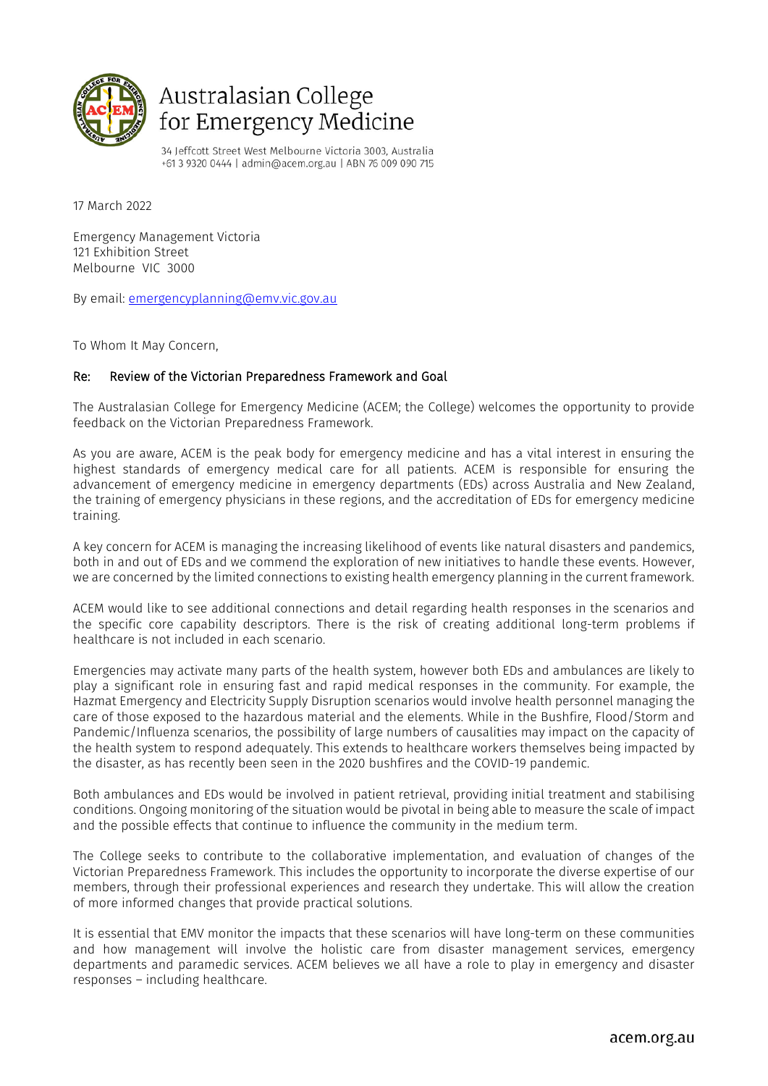

## Australasian College for Emergency Medicine

34 Jeffcott Street West Melbourne Victoria 3003, Australia +61 3 9320 0444 | admin@acem.org.au | ABN 76 009 090 715

17 March 2022

Emergency Management Victoria 121 Exhibition Street Melbourne VIC 3000

By email: [emergencyplanning@emv.vic.gov.au](mailto:emergencyplanning@emv.vic.gov.au)

To Whom It May Concern,

## Re: Review of the Victorian Preparedness Framework and Goal

The Australasian College for Emergency Medicine (ACEM; the College) welcomes the opportunity to provide feedback on the Victorian Preparedness Framework.

As you are aware, ACEM is the peak body for emergency medicine and has a vital interest in ensuring the highest standards of emergency medical care for all patients. ACEM is responsible for ensuring the advancement of emergency medicine in emergency departments (EDs) across Australia and New Zealand, the training of emergency physicians in these regions, and the accreditation of EDs for emergency medicine training.

A key concern for ACEM is managing the increasing likelihood of events like natural disasters and pandemics, both in and out of EDs and we commend the exploration of new initiatives to handle these events. However, we are concerned by the limited connections to existing health emergency planning in the current framework.

ACEM would like to see additional connections and detail regarding health responses in the scenarios and the specific core capability descriptors. There is the risk of creating additional long-term problems if healthcare is not included in each scenario.

Emergencies may activate many parts of the health system, however both EDs and ambulances are likely to play a significant role in ensuring fast and rapid medical responses in the community. For example, the Hazmat Emergency and Electricity Supply Disruption scenarios would involve health personnel managing the care of those exposed to the hazardous material and the elements. While in the Bushfire, Flood/Storm and Pandemic/Influenza scenarios, the possibility of large numbers of causalities may impact on the capacity of the health system to respond adequately. This extends to healthcare workers themselves being impacted by the disaster, as has recently been seen in the 2020 bushfires and the COVID-19 pandemic.

Both ambulances and EDs would be involved in patient retrieval, providing initial treatment and stabilising conditions. Ongoing monitoring of the situation would be pivotal in being able to measure the scale of impact and the possible effects that continue to influence the community in the medium term.

The College seeks to contribute to the collaborative implementation, and evaluation of changes of the Victorian Preparedness Framework. This includes the opportunity to incorporate the diverse expertise of our members, through their professional experiences and research they undertake. This will allow the creation of more informed changes that provide practical solutions.

It is essential that EMV monitor the impacts that these scenarios will have long-term on these communities and how management will involve the holistic care from disaster management services, emergency departments and paramedic services. ACEM believes we all have a role to play in emergency and disaster responses – including healthcare.